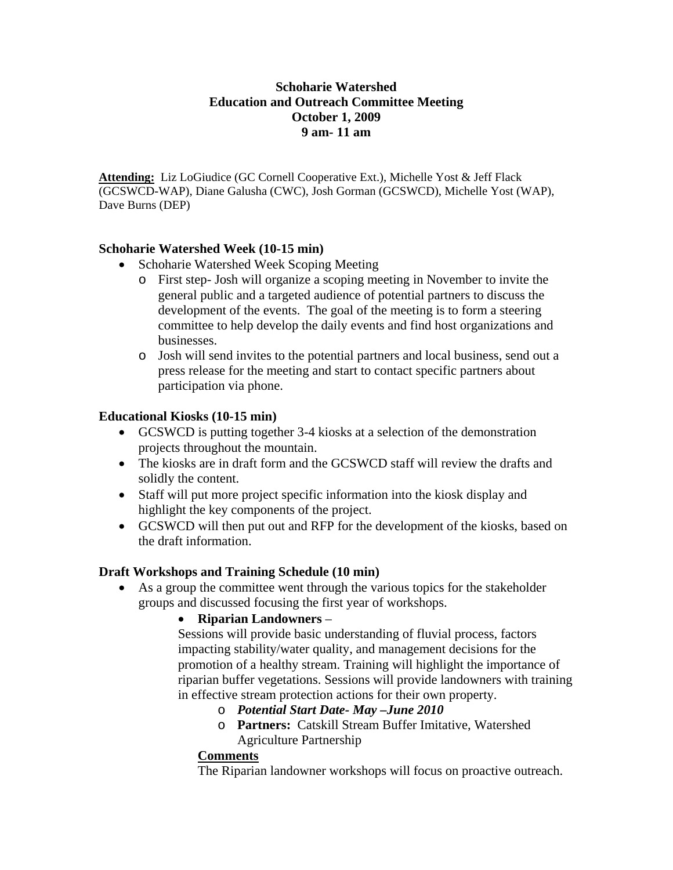### **Schoharie Watershed Education and Outreach Committee Meeting October 1, 2009 9 am- 11 am**

**Attending:** Liz LoGiudice (GC Cornell Cooperative Ext.), Michelle Yost & Jeff Flack (GCSWCD-WAP), Diane Galusha (CWC), Josh Gorman (GCSWCD), Michelle Yost (WAP), Dave Burns (DEP)

### **Schoharie Watershed Week (10-15 min)**

- Schoharie Watershed Week Scoping Meeting
	- o First step- Josh will organize a scoping meeting in November to invite the general public and a targeted audience of potential partners to discuss the development of the events. The goal of the meeting is to form a steering committee to help develop the daily events and find host organizations and businesses.
	- o Josh will send invites to the potential partners and local business, send out a press release for the meeting and start to contact specific partners about participation via phone.

### **Educational Kiosks (10-15 min)**

- GCSWCD is putting together 3-4 kiosks at a selection of the demonstration projects throughout the mountain.
- The kiosks are in draft form and the GCSWCD staff will review the drafts and solidly the content.
- Staff will put more project specific information into the kiosk display and highlight the key components of the project.
- GCSWCD will then put out and RFP for the development of the kiosks, based on the draft information.

### **Draft Workshops and Training Schedule (10 min)**

 As a group the committee went through the various topics for the stakeholder groups and discussed focusing the first year of workshops.

## **Riparian Landowners** –

Sessions will provide basic understanding of fluvial process, factors impacting stability/water quality, and management decisions for the promotion of a healthy stream. Training will highlight the importance of riparian buffer vegetations. Sessions will provide landowners with training in effective stream protection actions for their own property.

- o *Potential Start Date- May –June 2010*
- o **Partners:** Catskill Stream Buffer Imitative, Watershed Agriculture Partnership

### **Comments**

The Riparian landowner workshops will focus on proactive outreach.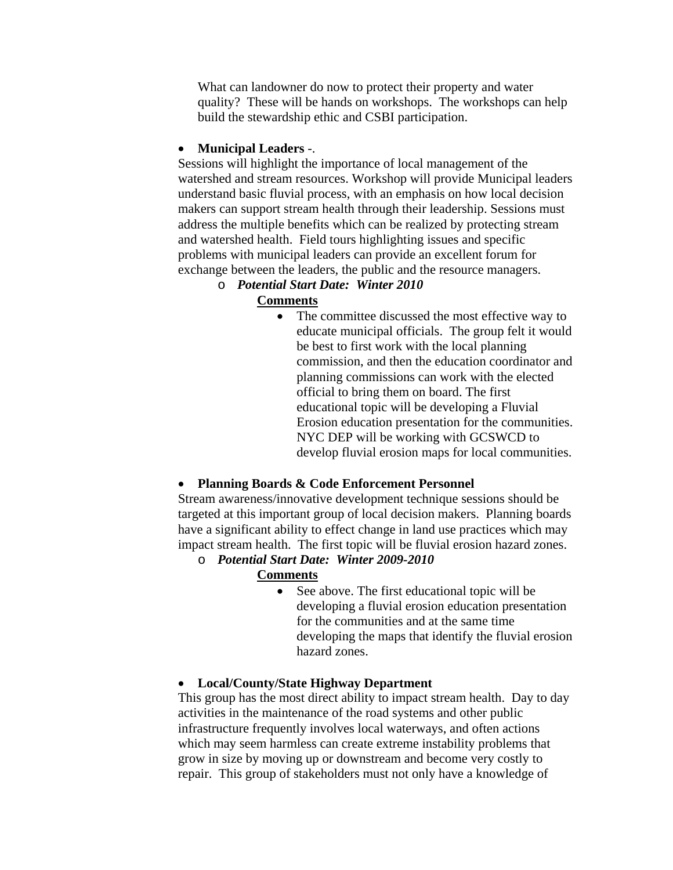What can landowner do now to protect their property and water quality? These will be hands on workshops. The workshops can help build the stewardship ethic and CSBI participation.

### **Municipal Leaders** -.

Sessions will highlight the importance of local management of the watershed and stream resources. Workshop will provide Municipal leaders understand basic fluvial process, with an emphasis on how local decision makers can support stream health through their leadership. Sessions must address the multiple benefits which can be realized by protecting stream and watershed health. Field tours highlighting issues and specific problems with municipal leaders can provide an excellent forum for exchange between the leaders, the public and the resource managers.

## o *Potential Start Date: Winter 2010*

### **Comments**

• The committee discussed the most effective way to educate municipal officials. The group felt it would be best to first work with the local planning commission, and then the education coordinator and planning commissions can work with the elected official to bring them on board. The first educational topic will be developing a Fluvial Erosion education presentation for the communities. NYC DEP will be working with GCSWCD to develop fluvial erosion maps for local communities.

## **Planning Boards & Code Enforcement Personnel**

Stream awareness/innovative development technique sessions should be targeted at this important group of local decision makers. Planning boards have a significant ability to effect change in land use practices which may impact stream health. The first topic will be fluvial erosion hazard zones.

- o *Potential Start Date: Winter 2009-2010* **Comments**
	- See above. The first educational topic will be developing a fluvial erosion education presentation for the communities and at the same time developing the maps that identify the fluvial erosion hazard zones.

## **Local/County/State Highway Department**

This group has the most direct ability to impact stream health. Day to day activities in the maintenance of the road systems and other public infrastructure frequently involves local waterways, and often actions which may seem harmless can create extreme instability problems that grow in size by moving up or downstream and become very costly to repair. This group of stakeholders must not only have a knowledge of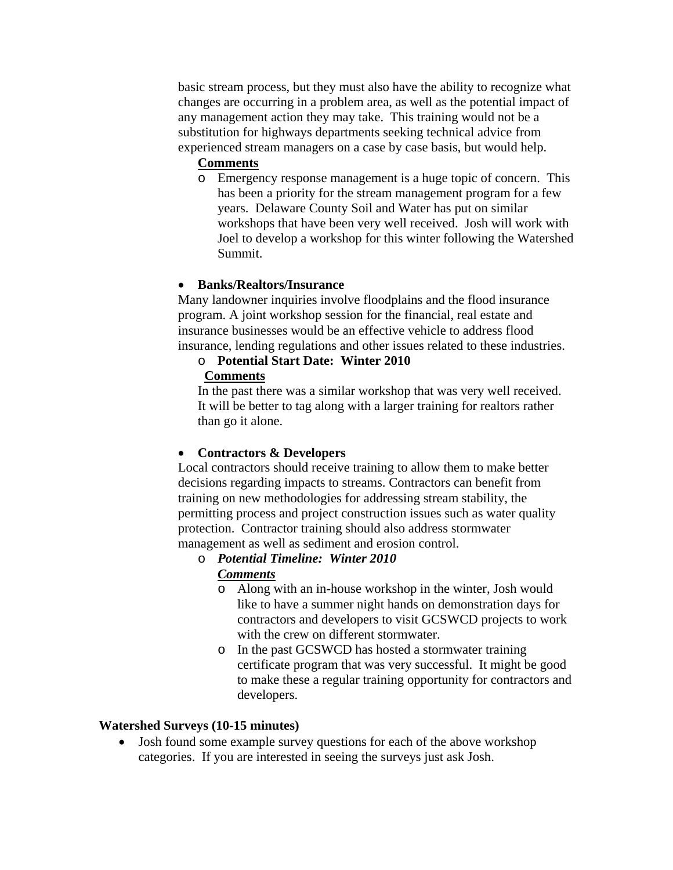basic stream process, but they must also have the ability to recognize what changes are occurring in a problem area, as well as the potential impact of any management action they may take. This training would not be a substitution for highways departments seeking technical advice from experienced stream managers on a case by case basis, but would help.

### **Comments**

o Emergency response management is a huge topic of concern. This has been a priority for the stream management program for a few years. Delaware County Soil and Water has put on similar workshops that have been very well received. Josh will work with Joel to develop a workshop for this winter following the Watershed Summit.

## **Banks/Realtors/Insurance**

Many landowner inquiries involve floodplains and the flood insurance program. A joint workshop session for the financial, real estate and insurance businesses would be an effective vehicle to address flood insurance, lending regulations and other issues related to these industries.

# o **Potential Start Date: Winter 2010**

### **Comments**

In the past there was a similar workshop that was very well received. It will be better to tag along with a larger training for realtors rather than go it alone.

## **Contractors & Developers**

Local contractors should receive training to allow them to make better decisions regarding impacts to streams. Contractors can benefit from training on new methodologies for addressing stream stability, the permitting process and project construction issues such as water quality protection. Contractor training should also address stormwater management as well as sediment and erosion control.

#### o *Potential Timeline: Winter 2010 Comments*

- o Along with an in-house workshop in the winter, Josh would like to have a summer night hands on demonstration days for contractors and developers to visit GCSWCD projects to work with the crew on different stormwater.
- o In the past GCSWCD has hosted a stormwater training certificate program that was very successful. It might be good to make these a regular training opportunity for contractors and developers.

## **Watershed Surveys (10-15 minutes)**

• Josh found some example survey questions for each of the above workshop categories. If you are interested in seeing the surveys just ask Josh.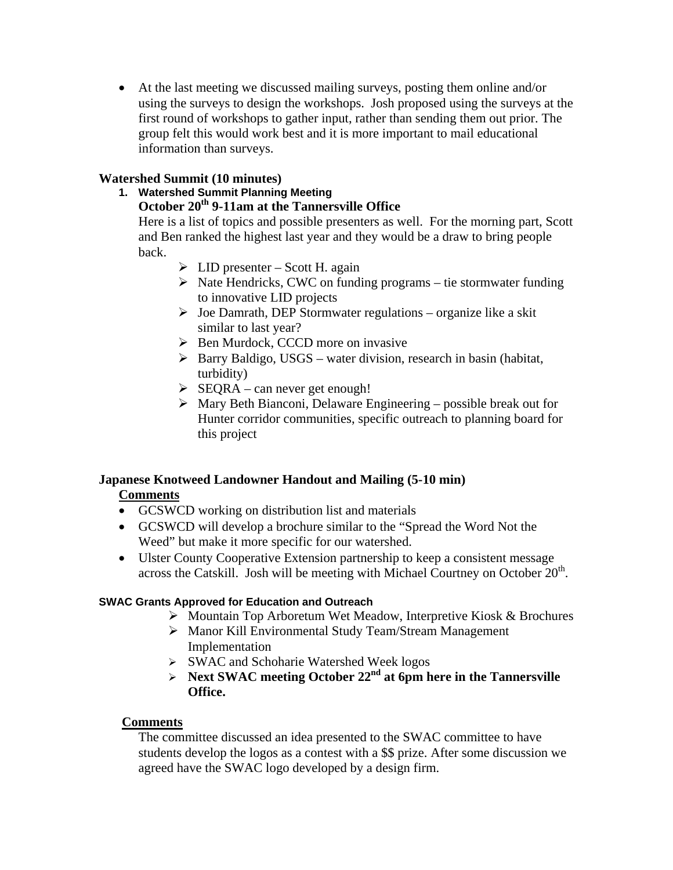At the last meeting we discussed mailing surveys, posting them online and/or using the surveys to design the workshops. Josh proposed using the surveys at the first round of workshops to gather input, rather than sending them out prior. The group felt this would work best and it is more important to mail educational information than surveys.

## **Watershed Summit (10 minutes)**

**1. Watershed Summit Planning Meeting** 

## October 20<sup>th</sup> 9-11am at the Tannersville Office

Here is a list of topics and possible presenters as well. For the morning part, Scott and Ben ranked the highest last year and they would be a draw to bring people back.

- $\triangleright$  LID presenter Scott H. again
- $\triangleright$  Nate Hendricks, CWC on funding programs tie stormwater funding to innovative LID projects
- $\triangleright$  Joe Damrath, DEP Stormwater regulations organize like a skit similar to last year?
- $\triangleright$  Ben Murdock, CCCD more on invasive
- $\triangleright$  Barry Baldigo, USGS water division, research in basin (habitat, turbidity)
- $\triangleright$  SEQRA can never get enough!
- $\triangleright$  Mary Beth Bianconi, Delaware Engineering possible break out for Hunter corridor communities, specific outreach to planning board for this project

## **Japanese Knotweed Landowner Handout and Mailing (5-10 min)**

## **Comments**

- GCSWCD working on distribution list and materials
- GCSWCD will develop a brochure similar to the "Spread the Word Not the Weed" but make it more specific for our watershed.
- Ulster County Cooperative Extension partnership to keep a consistent message across the Catskill. Josh will be meeting with Michael Courtney on October  $20<sup>th</sup>$ .

## **SWAC Grants Approved for Education and Outreach**

- Mountain Top Arboretum Wet Meadow, Interpretive Kiosk & Brochures
- Manor Kill Environmental Study Team/Stream Management Implementation
- SWAC and Schoharie Watershed Week logos
- $\triangleright$  Next SWAC meeting October 22<sup>nd</sup> at 6pm here in the Tannersville **Office.**

## **Comments**

The committee discussed an idea presented to the SWAC committee to have students develop the logos as a contest with a \$\$ prize. After some discussion we agreed have the SWAC logo developed by a design firm.